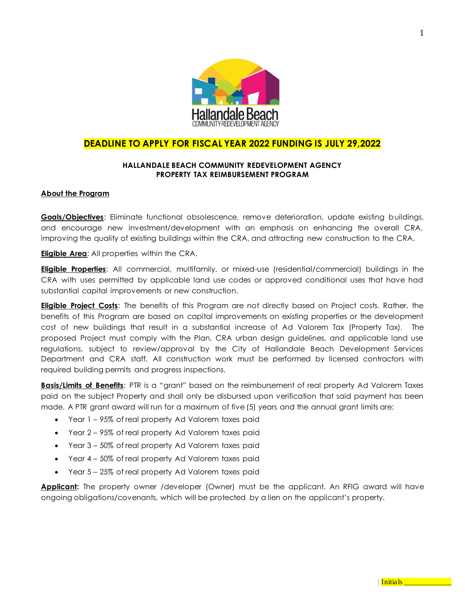

## **DEADLINE TO APPLY FOR FISCAL YEAR 2022 FUNDING IS JULY 29,2022**

#### **HALLANDALE BEACH COMMUNITY REDEVELOPMENT AGENCY PROPERTY TAX REIMBURSEMENT PROGRAM**

#### **About the Program**

**Goals/Objectives**: Eliminate functional obsolescence, remove deterioration, update existing buildings, and encourage new investment/development with an emphasis on enhancing the overall CRA, improving the quality of existing buildings within the CRA, and attracting new construction to the CRA.

**Eligible Area**: All properties within the CRA.

**Eligible Properties**: All commercial, multifamily, or mixed-use (residential/commercial) buildings in the CRA with uses permitted by applicable land use codes or approved conditional uses that have had substantial capital improvements or new construction.

**Eligible Project Costs**: The benefits of this Program are not directly based on Project costs. Rather, the benefits of this Program are based on capital improvements on existing properties or the development cost of new buildings that result in a substantial increase of Ad Valorem Tax (Property Tax). The proposed Project must comply with the Plan, CRA urban design guidelines, and applicable land use regulations, subject to review/approval by the City of Hallandale Beach Development Services Department and CRA staff. All construction work must be performed by licensed contractors with required building permits and progress inspections.

**Basis/Limits of Benefits**: PTR is a "grant" based on the reimbursement of real property Ad Valorem Taxes paid on the subject Property and shall only be disbursed upon verification that said payment has been made. A PTR grant award will run for a maximum of five (5) years and the annual grant limits are:

- Year 1 95% of real property Ad Valorem taxes paid
- Year 2 95% of real property Ad Valorem taxes paid
- Year 3 50% of real property Ad Valorem taxes paid
- Year 4 50% of real property Ad Valorem taxes paid
- Year 5 25% of real property Ad Valorem taxes paid

**Applicant:** The property owner /developer (Owner) must be the applicant. An RFIG award will have ongoing obligations/covenants, which will be protected by a lien on the applicant's property.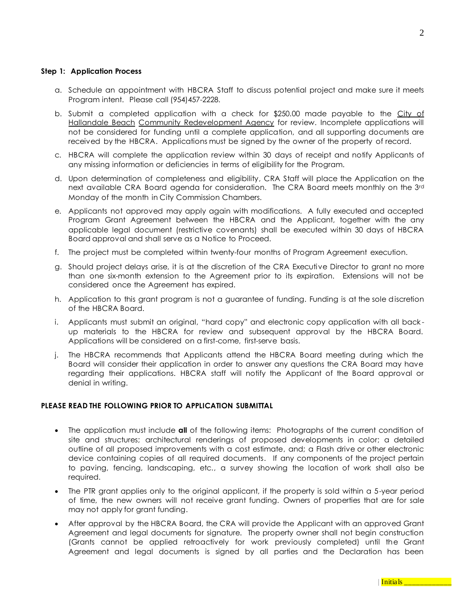#### **Step 1: Application Process**

- a. Schedule an appointment with HBCRA Staff to discuss potential project and make sure it meets Program intent. Please call (954)457-2228.
- b. Submit a completed application with a check for \$250.00 made payable to the City of Hallandale Beach Community Redevelopment Agency for review. Incomplete applications will not be considered for funding until a complete application, and all supporting documents are received by the HBCRA. Applications must be signed by the owner of the property of record.
- c. HBCRA will complete the application review within 30 days of receipt and notify Applicants of any missing information or deficiencies in terms of eligibility for the Program.
- d. Upon determination of completeness and eligibility, CRA Staff will place the Application on the next available CRA Board agenda for consideration. The CRA Board meets monthly on the 3rd Monday of the month in City Commission Chambers.
- e. Applicants not approved may apply again with modifications. A fully executed and accepted Program Grant Agreement between the HBCRA and the Applicant, together with the any applicable legal document (restrictive covenants) shall be executed within 30 days of HBCRA Board approval and shall serve as a Notice to Proceed.
- f. The project must be completed within twenty-four months of Program Agreement execution.
- g. Should project delays arise, it is at the discretion of the CRA Executive Director to grant no more than one six-month extension to the Agreement prior to its expiration. Extensions will not be considered once the Agreement has expired.
- h. Application to this grant program is not a guarantee of funding. Funding is at the sole discretion of the HBCRA Board.
- i. Applicants must submit an original, "hard copy" and electronic copy application with all back up materials to the HBCRA for review and subsequent approval by the HBCRA Board. Applications will be considered on a first-come, first-serve basis.
- j. The HBCRA recommends that Applicants attend the HBCRA Board meeting during which the Board will consider their application in order to answer any questions the CRA Board may have regarding their applications. HBCRA staff will notify the Applicant of the Board approval or denial in writing.

#### **PLEASE READ THE FOLLOWING PRIOR TO APPLICATION SUBMITTAL**

- The application must include **all** of the following items: Photographs of the current condition of site and structures; architectural renderings of proposed developments in color; a detailed outline of all proposed improvements with a cost estimate, and; a Flash drive or other electronic device containing copies of all required documents. If any components of the project pertain to paving, fencing, landscaping, etc., a survey showing the location of work shall also be required.
- The PTR grant applies only to the original applicant, if the property is sold within a 5-year period of time, the new owners will not receive grant funding. Owners of properties that are for sale may not apply for grant funding.
- After approval by the HBCRA Board, the CRA will provide the Applicant with an approved Grant Agreement and legal documents for signature. The property owner shall not begin construction (Grants cannot be applied retroactively for work previously completed) until the Grant Agreement and legal documents is signed by all parties and the Declaration has been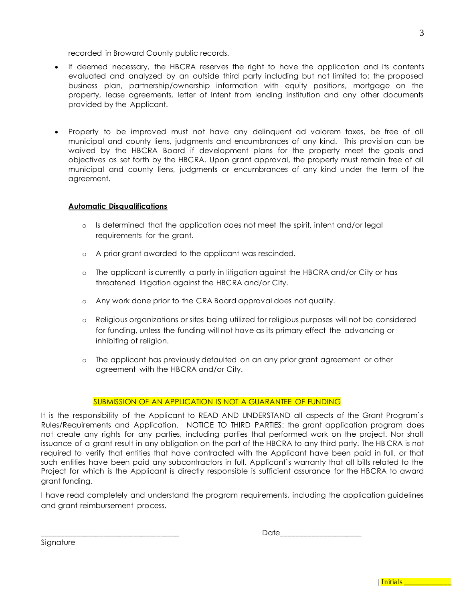recorded in Broward County public records.

- If deemed necessary, the HBCRA reserves the right to have the application and its contents evaluated and analyzed by an outside third party including but not limited to; the proposed business plan, partnership/ownership information with equity positions, mortgage on the property, lease agreements, letter of Intent from lending institution and any other documents provided by the Applicant.
- Property to be improved must not have any delinquent ad valorem taxes, be free of all municipal and county liens, judgments and encumbrances of any kind. This provision can be waived by the HBCRA Board if development plans for the property meet the goals and objectives as set forth by the HBCRA. Upon grant approval, the property must remain free of all municipal and county liens, judgments or encumbrances of any kind under the term of the agreement.

## **Automatic Disqualifications**

- o Is determined that the application does not meet the spirit, intent and/or legal requirements for the grant.
- o A prior grant awarded to the applicant was rescinded.
- o The applicant is currently a party in litigation against the HBCRA and/or City or has threatened litigation against the HBCRA and/or City.
- o Any work done prior to the CRA Board approval does not qualify.
- o Religious organizations or sites being utilized for religious purposes will not be considered for funding, unless the funding will not have as its primary effect the advancing or inhibiting of religion.
- o The applicant has previously defaulted on an any prior grant agreement or other agreement with the HBCRA and/or City.

#### SUBMISSION OF AN APPLICATION IS NOT A GUARANTEE OF FUNDING

It is the responsibility of the Applicant to READ AND UNDERSTAND all aspects of the Grant Program`s Rules/Requirements and Application. NOTICE TO THIRD PARTIES: the grant application program does not create any rights for any parties, including parties that performed work on the project. Nor shall issuance of a grant result in any obligation on the part of the HBCRA to any third party. The HB CRA is not required to verify that entities that have contracted with the Applicant have been paid in full, or that such entities have been paid any subcontractors in full. Applicant`s warranty that all bills related to the Project for which is the Applicant is directly responsible is sufficient assurance for the HBCRA to award grant funding.

I have read completely and understand the program requirements, including the application guidelines and grant reimbursement process.

\_\_\_\_\_\_\_\_\_\_\_\_\_\_\_\_\_\_\_\_\_\_\_\_\_\_\_\_\_\_\_\_\_\_\_\_ Date\_\_\_\_\_\_\_\_\_\_\_\_\_\_\_\_\_\_\_\_\_

Signature

|--|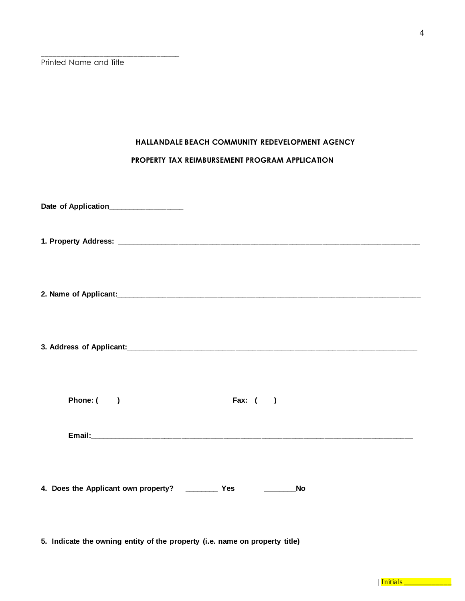Printed Name and Title

\_\_\_\_\_\_\_\_\_\_\_\_\_\_\_\_\_\_\_\_\_\_\_\_\_\_\_\_\_\_\_\_\_\_\_\_

## **HALLANDALE BEACH COMMUNITY REDEVELOPMENT AGENCY**

### **PROPERTY TAX REIMBURSEMENT PROGRAM APPLICATION**

| Date of Application______________                     |            |  |
|-------------------------------------------------------|------------|--|
|                                                       |            |  |
|                                                       |            |  |
|                                                       |            |  |
| Phone: ()                                             | Fax: $( )$ |  |
|                                                       |            |  |
| 4. Does the Applicant own property? _____________ Yes | <b>No</b>  |  |

**5. Indicate the owning entity of the property (i.e. name on property title)**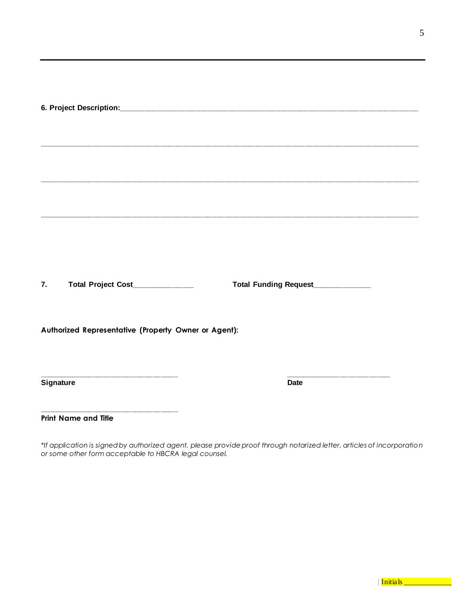**7. Total Project Cost\_\_\_\_\_\_\_\_\_\_\_\_\_\_\_ Total Funding Request\_\_\_\_\_\_\_\_\_\_\_\_\_\_**

**\_\_\_\_\_\_\_\_\_\_\_\_\_\_\_\_\_\_\_\_\_\_\_\_\_\_\_\_\_\_\_\_\_ \_\_\_\_\_\_\_\_\_\_\_\_\_\_\_\_\_\_\_\_\_\_\_\_\_**

**\_\_\_\_\_\_\_\_\_\_\_\_\_\_\_\_\_\_\_\_\_\_\_\_\_\_\_\_\_\_\_\_\_\_\_\_\_\_\_\_\_\_\_\_\_\_\_\_\_\_\_\_\_\_\_\_\_\_\_\_\_\_\_\_\_\_\_\_\_\_\_\_\_\_\_\_\_\_\_\_\_\_\_\_\_\_\_\_\_\_**

**Authorized Representative (Property Owner or Agent):**

**Signature Date**

**Print Name and Title**

**\_\_\_\_\_\_\_\_\_\_\_\_\_\_\_\_\_\_\_\_\_\_\_\_\_\_\_\_\_\_\_\_\_**

*\*If application is signed by authorized agent, please provide proof through notarized letter, articles of incorporation or some other form acceptable to HBCRA legal counsel.*